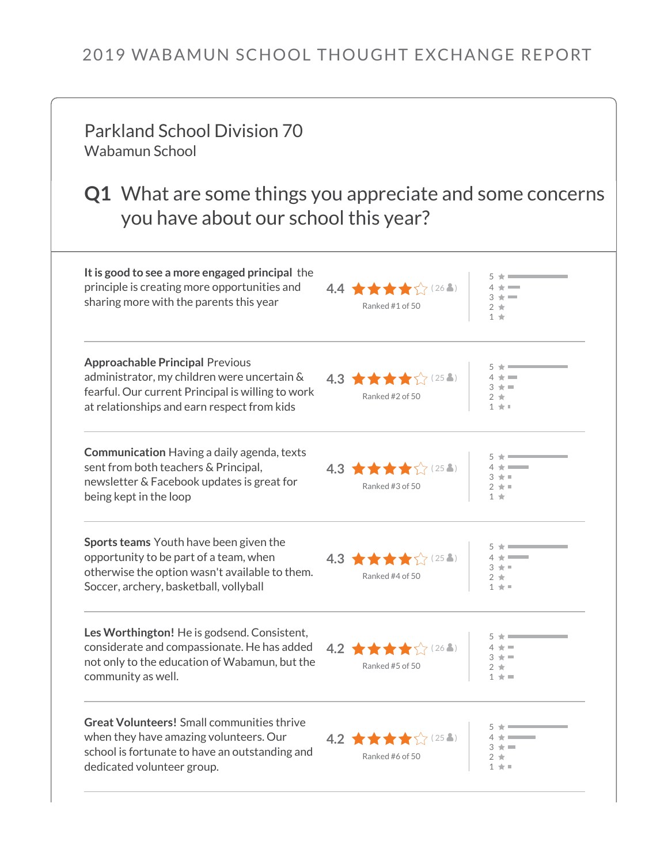## 2019 WABAMUN SCHOOL THOUGHT EXCHANGE REPORT

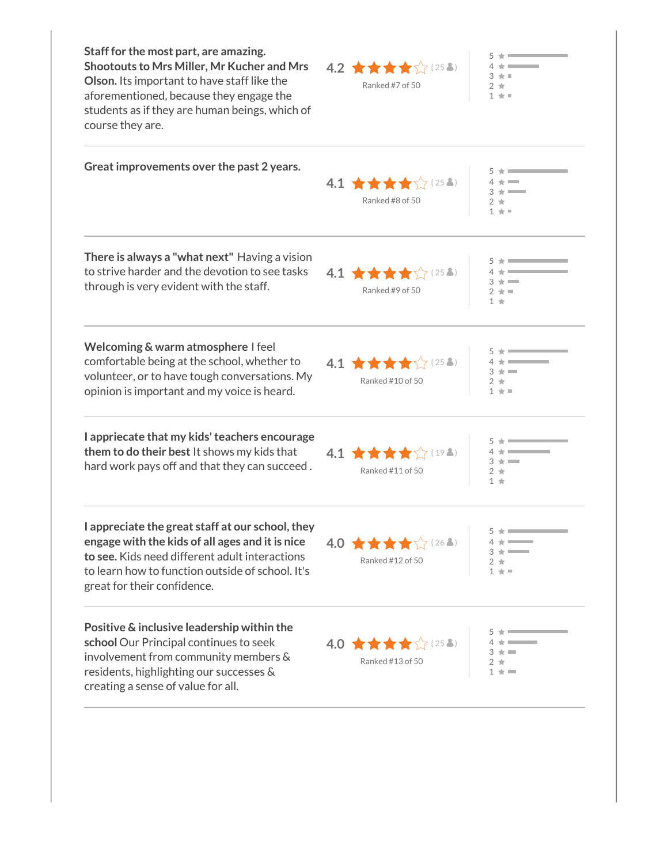| Staff for the most part, are amazing.<br>Shootouts to Mrs Miller, Mr Kucher and Mrs<br>Olson. Its important to have staff like the<br>aforementioned, because they engage the<br>students as if they are human beings, which of<br>course they are. | $4.2 \pm \pm \pm \sqrt{(25.2)}$<br>大王<br>Ranked #7 of 50<br>$2 \cdot$<br>$1 \star$                                           |  |
|-----------------------------------------------------------------------------------------------------------------------------------------------------------------------------------------------------------------------------------------------------|------------------------------------------------------------------------------------------------------------------------------|--|
| Great improvements over the past 2 years.                                                                                                                                                                                                           | 4.1 ★★★★☆(25名)<br>Ranked #8 of 50<br>2 ★<br>$1 + 1$                                                                          |  |
| There is always a "what next" Having a vision<br>to strive harder and the devotion to see tasks<br>through is very evident with the staff.                                                                                                          | $4.1$ $\star \star \star \star$ (254)<br>Ranked #9 of 50<br>大量<br>1 ★                                                        |  |
| Welcoming & warm atmosphere I feel<br>comfortable being at the school, whether to<br>volunteer, or to have tough conversations. My<br>opinion is important and my voice is heard.                                                                   | $4.1$ $\star \star \star \star$ $(25.2)$<br>Ranked #10 of 50<br>$2 *$<br>$1 + 1$                                             |  |
| I appriecate that my kids' teachers encourage<br>them to do their best It shows my kids that<br>hard work pays off and that they can succeed.                                                                                                       | 4.1 女女女女<br>$\chi$ (19.1)<br>Ranked #11 of 50<br>$2 *$<br>1 ★                                                                |  |
| I appreciate the great staff at our school, they<br>engage with the kids of all ages and it is nice<br>to see. Kids need different adult interactions<br>to learn how to function outside of school. It's<br>great for their confidence.            | $5 \star$ $ -$<br>$4.0$ $\star \star \star \star$ (26.3)<br>$4 \star$ ___<br>$3 + 1$<br>Ranked #12 of 50<br>$2 *$<br>$1 + 1$ |  |
| Positive & inclusive leadership within the<br>school Our Principal continues to seek<br>involvement from community members &<br>residents, highlighting our successes &<br>creating a sense of value for all.                                       | 4.0 ★★★★☆(25名)<br>Ranked #13 of 50<br>$2 *$<br>$1 + 1$                                                                       |  |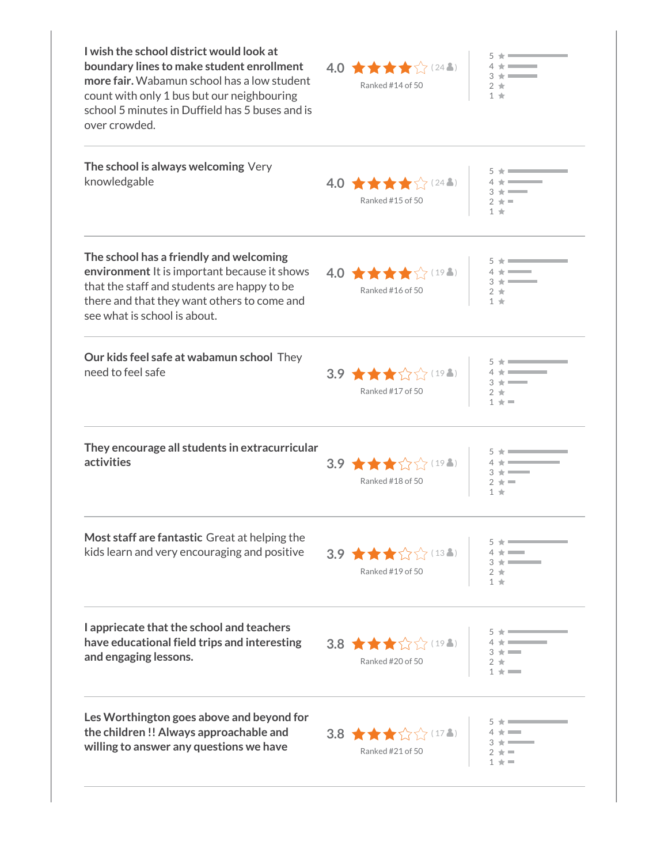| I wish the school district would look at<br>boundary lines to make student enrollment<br>more fair. Wabamun school has a low student<br>count with only 1 bus but our neighbouring<br>school 5 minutes in Duffield has 5 buses and is<br>over crowded. | $4.0$ $\star \star \star \star$ (24.3)<br>Ranked #14 of 50 | $1 +$              |
|--------------------------------------------------------------------------------------------------------------------------------------------------------------------------------------------------------------------------------------------------------|------------------------------------------------------------|--------------------|
| The school is always welcoming Very<br>knowledgable                                                                                                                                                                                                    | 4.0 $\star \star \star \sqrt[4]{244}$<br>Ranked #15 of 50  | $1 +$              |
| The school has a friendly and welcoming<br>environment It is important because it shows<br>that the staff and students are happy to be<br>there and that they want others to come and<br>see what is school is about.                                  | 4.0 ★★★★☆(194)  <br>Ranked #16 of 50                       |                    |
| Our kids feel safe at wabamun school They<br>need to feel safe                                                                                                                                                                                         | 3.9 ★★★☆☆(194)  <br>Ranked #17 of 50                       | $1 + 1$            |
| They encourage all students in extracurricular<br>activities                                                                                                                                                                                           | 3.9 ★★★☆☆(198)  <br>Ranked #18 of 50                       | 1 +                |
| Most staff are fantastic Great at helping the<br>kids learn and very encouraging and positive                                                                                                                                                          | 3.9 ★★★☆☆(13▲)  <br>Ranked #19 of 50                       | $1 +$              |
| I appriecate that the school and teachers<br>have educational field trips and interesting<br>and engaging lessons.                                                                                                                                     | 3.8 ★★★☆☆(198)  <br>Ranked #20 of 50                       | <b>The Comment</b> |
| Les Worthington goes above and beyond for<br>the children!! Always approachable and<br>willing to answer any questions we have                                                                                                                         | 3.8 ★★★☆☆(174)  <br>Ranked #21 of 50                       | $1 + 1$            |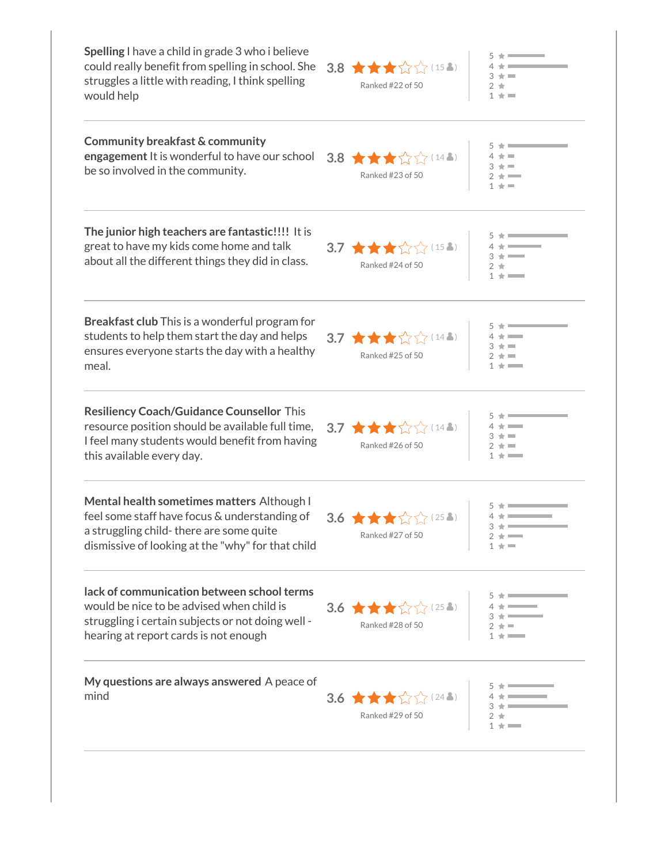| Spelling I have a child in grade 3 who i believe<br>could really benefit from spelling in school. She<br>struggles a little with reading, I think spelling<br>would help                    | 公公(15)<br>3.8 女女女<br>Ranked #22 of 50                                         | $1 + 1$   |
|---------------------------------------------------------------------------------------------------------------------------------------------------------------------------------------------|-------------------------------------------------------------------------------|-----------|
| Community breakfast & community<br>engagement It is wonderful to have our school<br>be so involved in the community.                                                                        | 3.8 ★★★☆☆(148)<br>Ranked #23 of 50                                            | $1 + 1$   |
| The junior high teachers are fantastic!!!! It is<br>great to have my kids come home and talk<br>about all the different things they did in class.                                           | 3.7 ★★★☆☆(152)<br>Ranked #24 of 50                                            |           |
| <b>Breakfast club</b> This is a wonderful program for<br>students to help them start the day and helps<br>ensures everyone starts the day with a healthy<br>meal.                           | 3.7 ★★★☆☆(148)<br>Ranked #25 of 50                                            |           |
| <b>Resiliency Coach/Guidance Counsellor This</b><br>resource position should be available full time,<br>I feel many students would benefit from having<br>this available every day.         | 3.7 ★★★☆☆(148)<br>Ranked #26 of 50                                            | $+ = -$   |
| Mental health sometimes matters Although I<br>feel some staff have focus & understanding of<br>a struggling child-there are some quite<br>dismissive of looking at the "why" for that child | 3.6 ★★★☆<br>$5/25$ (25 Å)<br>Ranked #27 of 50                                 | $2 \star$ |
| lack of communication between school terms<br>would be nice to be advised when child is<br>struggling i certain subjects or not doing well -<br>hearing at report cards is not enough       | 3.6<br>Ranked #28 of 50<br>Ranked #28 of 50<br>$\frac{3}{4}$<br>$\frac{1}{3}$ |           |
| My questions are always answered A peace of<br>mind                                                                                                                                         | 3.6<br>Ranked #29 of 50<br>Ranked #29 of 50<br>$2 \frac{1}{4}$                |           |
|                                                                                                                                                                                             |                                                                               |           |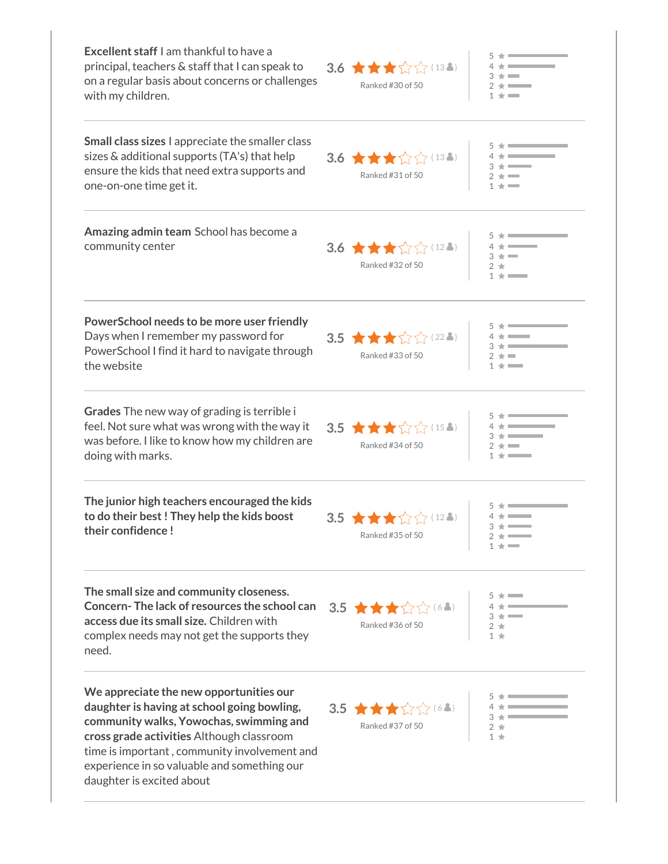| <b>Excellent staff</b> I am thankful to have a<br>principal, teachers & staff that I can speak to<br>on a regular basis about concerns or challenges<br>with my children.                                                                                                                                  | 3.6 $\star \star \sim 13.$<br>Ranked #30 of 50           |                                   |
|------------------------------------------------------------------------------------------------------------------------------------------------------------------------------------------------------------------------------------------------------------------------------------------------------------|----------------------------------------------------------|-----------------------------------|
| Small class sizes I appreciate the smaller class<br>sizes & additional supports (TA's) that help<br>ensure the kids that need extra supports and<br>one-on-one time get it.                                                                                                                                | 3.6 $\star \star \sim 13.2$<br>Ranked #31 of 50          |                                   |
| Amazing admin team School has become a<br>community center                                                                                                                                                                                                                                                 | 3.6 ★★★☆☆(128)<br>Ranked #32 of 50                       |                                   |
| PowerSchool needs to be more user friendly<br>Days when I remember my password for<br>PowerSchool I find it hard to navigate through<br>the website                                                                                                                                                        | $3.5$ $\star \star \sim 22.3$<br>Ranked #33 of 50        |                                   |
| Grades The new way of grading is terrible i<br>feel. Not sure what was wrong with the way it<br>was before. I like to know how my children are<br>doing with marks.                                                                                                                                        | 3.5 $\star \star \sim 154$<br>Ranked #34 of 50           |                                   |
| The junior high teachers encouraged the kids<br>to do their best! They help the kids boost<br>their confidence!                                                                                                                                                                                            | 57 (12)<br>$3.5$ $\star \star \star$<br>Ranked #35 of 50 | $3 + 1$<br>$2 \star \blacksquare$ |
| The small size and community closeness.<br>Concern-The lack of resources the school can<br>access due its small size. Children with<br>complex needs may not get the supports they<br>need.                                                                                                                | 3.5 Ranked #36 of 50                                     |                                   |
| We appreciate the new opportunities our<br>daughter is having at school going bowling,<br>community walks, Yowochas, swimming and<br>cross grade activities Although classroom<br>time is important, community involvement and<br>experience in so valuable and something our<br>daughter is excited about | 3.5 Ranked #37 of 50                                     |                                   |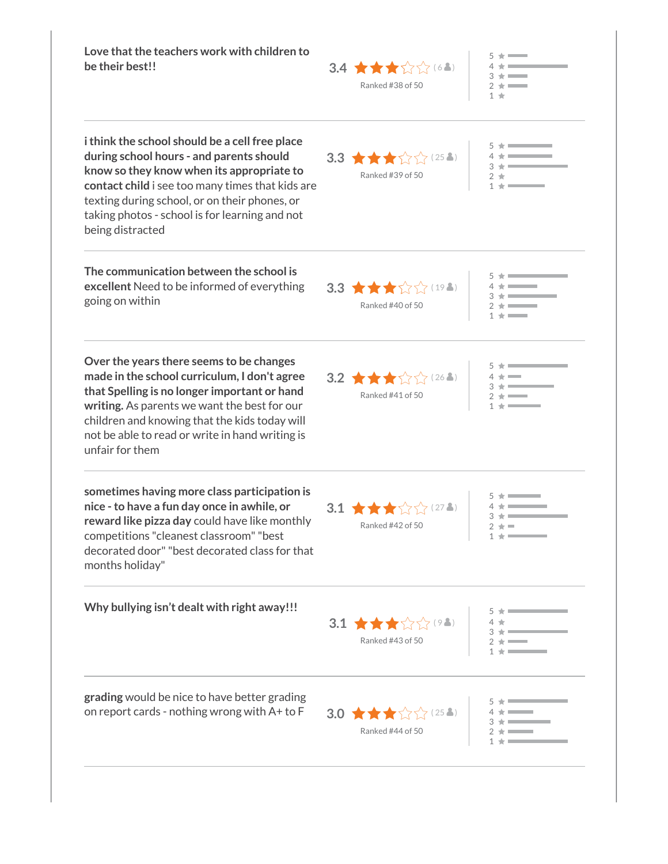| Love that the teachers work with children to<br>be their best!!                                                                                                                                                                                                                                                    | 3.4 $\star \star \star \otimes$ (68)<br>Ranked #38 of 50              | $5 * $<br>$2 + \blacksquare$<br>$1 +$ |  |
|--------------------------------------------------------------------------------------------------------------------------------------------------------------------------------------------------------------------------------------------------------------------------------------------------------------------|-----------------------------------------------------------------------|---------------------------------------|--|
| i think the school should be a cell free place<br>during school hours - and parents should<br>know so they know when its appropriate to<br>contact child i see too many times that kids are<br>texting during school, or on their phones, or<br>taking photos - school is for learning and not<br>being distracted | 3.3 $\star \star \sim 25.2$<br>Ranked #39 of 50                       | $1 + 1$                               |  |
| The communication between the school is<br>excellent Need to be informed of everything<br>going on within                                                                                                                                                                                                          | 3.3 $\star \star \sim 194$<br>Ranked #40 of 50                        | $1 + \blacksquare$                    |  |
| Over the years there seems to be changes<br>made in the school curriculum, I don't agree<br>that Spelling is no longer important or hand<br>writing. As parents we want the best for our<br>children and knowing that the kids today will<br>not be able to read or write in hand writing is<br>unfair for them    | 3.2 $\star \star \sim 262$<br>Ranked #41 of 50                        |                                       |  |
| sometimes having more class participation is<br>nice - to have a fun day once in awhile, or<br>reward like pizza day could have like monthly<br>competitions "cleanest classroom" "best<br>decorated door" "best decorated class for that<br>months holiday"                                                       | 3.1 $\star \star \sim 272$<br>Ranked #42 of 50                        |                                       |  |
| Why bullying isn't dealt with right away!!!                                                                                                                                                                                                                                                                        | 3.1 $\star \star \uparrow \uparrow \uparrow$ (92)<br>Ranked #43 of 50 |                                       |  |
| grading would be nice to have better grading<br>on report cards - nothing wrong with A+ to F                                                                                                                                                                                                                       | 3.0<br>Ranked #44 of 50<br>$2 \div 2 \div 2 = 0$                      |                                       |  |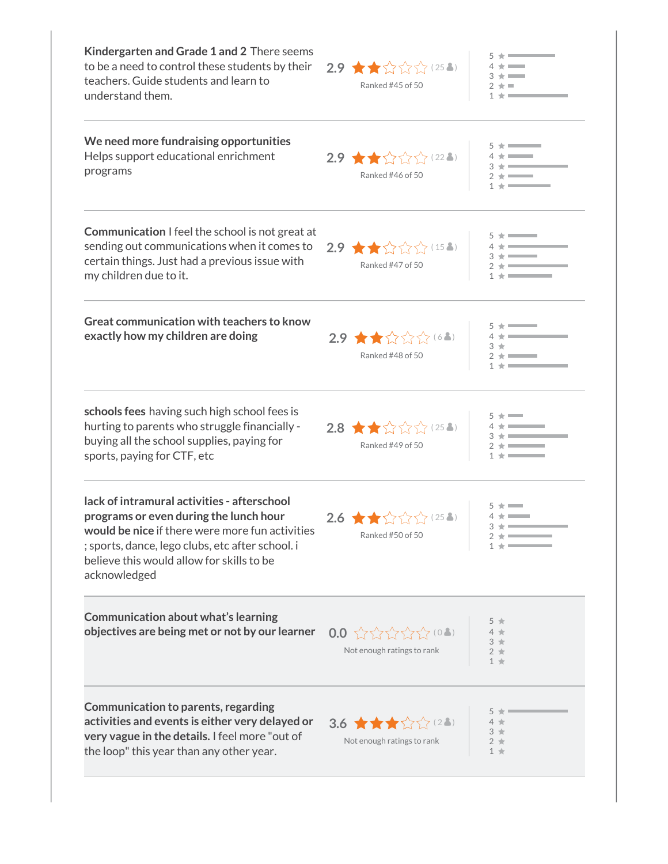| Kindergarten and Grade 1 and 2 There seems<br>to be a need to control these students by their<br>teachers. Guide students and learn to<br>understand them.                                                                                                | $2.9$ $\star$ $\star$ $\sim$ $\sim$ $(25.3)$<br>Ranked #45 of 50 |                         |
|-----------------------------------------------------------------------------------------------------------------------------------------------------------------------------------------------------------------------------------------------------------|------------------------------------------------------------------|-------------------------|
| We need more fundraising opportunities<br>Helps support educational enrichment<br>programs                                                                                                                                                                | $2.9$ $\star$ $\star$ $\sim$ $\sim$ $(22.3)$<br>Ranked #46 of 50 |                         |
| <b>Communication</b> I feel the school is not great at<br>sending out communications when it comes to<br>certain things. Just had a previous issue with<br>my children due to it.                                                                         | $2.9$ $\star$ $\star$ $\sim$ $\sim$ $(15.3)$<br>Ranked #47 of 50 |                         |
| <b>Great communication with teachers to know</b><br>exactly how my children are doing                                                                                                                                                                     | 2.9 ★★☆☆☆(64)<br>Ranked #48 of 50                                |                         |
| schools fees having such high school fees is<br>hurting to parents who struggle financially -<br>buying all the school supplies, paying for<br>sports, paying for CTF, etc                                                                                | $2.8$ $\star$ $\star$ $\sim$ $\sim$ $(25.1)$<br>Ranked #49 of 50 |                         |
| lack of intramural activities - afterschool<br>programs or even during the lunch hour<br>would be nice if there were more fun activities<br>; sports, dance, lego clubs, etc after school. i<br>believe this would allow for skills to be<br>acknowledged | $2.6$ $\star$ $\star$ $\sim$ $\sim$ $(254)$<br>Ranked #50 of 50  |                         |
| Communication about what's learning<br>objectives are being met or not by our learner                                                                                                                                                                     | 0.0 公公公公公(02)<br>Not enough ratings to rank                      | $3 +$<br>$2 +$<br>$1 +$ |
| <b>Communication to parents, regarding</b><br>activities and events is either very delayed or<br>very vague in the details. I feel more "out of<br>the loop" this year than any other year.                                                               | 3.6 ★★★☆☆(28)<br>Not enough ratings to rank                      | $3 +$<br>$1 +$          |